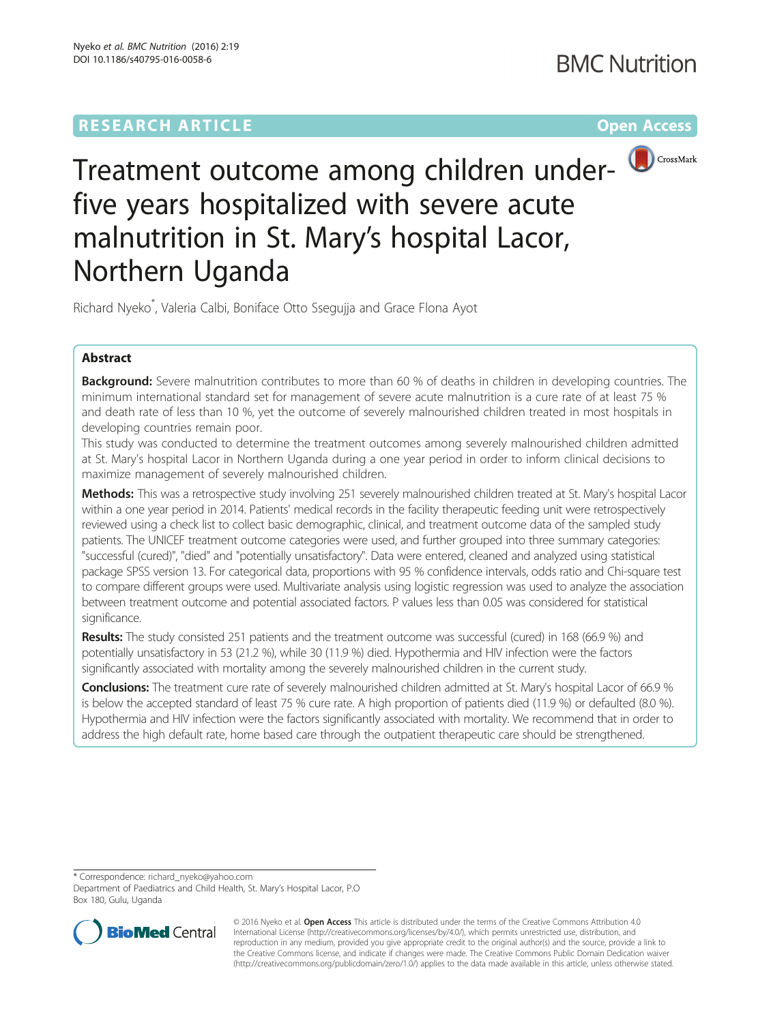

Treatment outcome among children underfive years hospitalized with severe acute malnutrition in St. Mary's hospital Lacor, Northern Uganda

Richard Nyeko\* , Valeria Calbi, Boniface Otto Ssegujja and Grace Flona Ayot

# Abstract

**Background:** Severe malnutrition contributes to more than 60 % of deaths in children in developing countries. The minimum international standard set for management of severe acute malnutrition is a cure rate of at least 75 % and death rate of less than 10 %, yet the outcome of severely malnourished children treated in most hospitals in developing countries remain poor.

This study was conducted to determine the treatment outcomes among severely malnourished children admitted at St. Mary's hospital Lacor in Northern Uganda during a one year period in order to inform clinical decisions to maximize management of severely malnourished children.

Methods: This was a retrospective study involving 251 severely malnourished children treated at St. Mary's hospital Lacor within a one year period in 2014. Patients' medical records in the facility therapeutic feeding unit were retrospectively reviewed using a check list to collect basic demographic, clinical, and treatment outcome data of the sampled study patients. The UNICEF treatment outcome categories were used, and further grouped into three summary categories: "successful (cured)", "died" and "potentially unsatisfactory". Data were entered, cleaned and analyzed using statistical package SPSS version 13. For categorical data, proportions with 95 % confidence intervals, odds ratio and Chi-square test to compare different groups were used. Multivariate analysis using logistic regression was used to analyze the association between treatment outcome and potential associated factors. P values less than 0.05 was considered for statistical significance.

Results: The study consisted 251 patients and the treatment outcome was successful (cured) in 168 (66.9 %) and potentially unsatisfactory in 53 (21.2 %), while 30 (11.9 %) died. Hypothermia and HIV infection were the factors significantly associated with mortality among the severely malnourished children in the current study.

Conclusions: The treatment cure rate of severely malnourished children admitted at St. Mary's hospital Lacor of 66.9 % is below the accepted standard of least 75 % cure rate. A high proportion of patients died (11.9 %) or defaulted (8.0 %). Hypothermia and HIV infection were the factors significantly associated with mortality. We recommend that in order to address the high default rate, home based care through the outpatient therapeutic care should be strengthened.

\* Correspondence: [richard\\_nyeko@yahoo.com](mailto:richard_nyeko@yahoo.com)

Department of Paediatrics and Child Health, St. Mary's Hospital Lacor, P.O Box 180, Gulu, Uganda



© 2016 Nyeko et al. Open Access This article is distributed under the terms of the Creative Commons Attribution 4.0 International License [\(http://creativecommons.org/licenses/by/4.0/](http://creativecommons.org/licenses/by/4.0/)), which permits unrestricted use, distribution, and reproduction in any medium, provided you give appropriate credit to the original author(s) and the source, provide a link to the Creative Commons license, and indicate if changes were made. The Creative Commons Public Domain Dedication waiver [\(http://creativecommons.org/publicdomain/zero/1.0/](http://creativecommons.org/publicdomain/zero/1.0/)) applies to the data made available in this article, unless otherwise stated.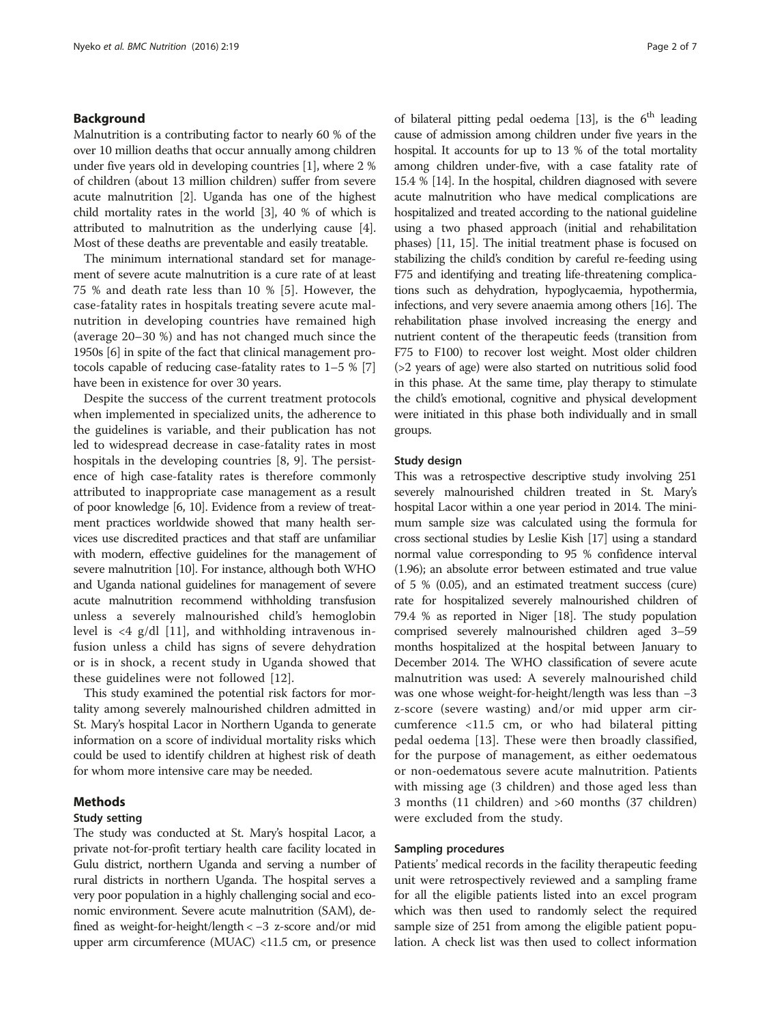## Background

Malnutrition is a contributing factor to nearly 60 % of the over 10 million deaths that occur annually among children under five years old in developing countries [[1\]](#page-6-0), where 2 % of children (about 13 million children) suffer from severe acute malnutrition [[2\]](#page-6-0). Uganda has one of the highest child mortality rates in the world [\[3](#page-6-0)], 40 % of which is attributed to malnutrition as the underlying cause [[4](#page-6-0)]. Most of these deaths are preventable and easily treatable.

The minimum international standard set for management of severe acute malnutrition is a cure rate of at least 75 % and death rate less than 10 % [[5\]](#page-6-0). However, the case-fatality rates in hospitals treating severe acute malnutrition in developing countries have remained high (average 20–30 %) and has not changed much since the 1950s [\[6](#page-6-0)] in spite of the fact that clinical management protocols capable of reducing case-fatality rates to 1–5 % [[7](#page-6-0)] have been in existence for over 30 years.

Despite the success of the current treatment protocols when implemented in specialized units, the adherence to the guidelines is variable, and their publication has not led to widespread decrease in case-fatality rates in most hospitals in the developing countries [\[8](#page-6-0), [9\]](#page-6-0). The persistence of high case-fatality rates is therefore commonly attributed to inappropriate case management as a result of poor knowledge [\[6](#page-6-0), [10\]](#page-6-0). Evidence from a review of treatment practices worldwide showed that many health services use discredited practices and that staff are unfamiliar with modern, effective guidelines for the management of severe malnutrition [\[10\]](#page-6-0). For instance, although both WHO and Uganda national guidelines for management of severe acute malnutrition recommend withholding transfusion unless a severely malnourished child's hemoglobin level is <4 g/dl [[11\]](#page-6-0), and withholding intravenous infusion unless a child has signs of severe dehydration or is in shock, a recent study in Uganda showed that these guidelines were not followed [[12\]](#page-6-0).

This study examined the potential risk factors for mortality among severely malnourished children admitted in St. Mary's hospital Lacor in Northern Uganda to generate information on a score of individual mortality risks which could be used to identify children at highest risk of death for whom more intensive care may be needed.

## Methods

## Study setting

The study was conducted at St. Mary's hospital Lacor, a private not-for-profit tertiary health care facility located in Gulu district, northern Uganda and serving a number of rural districts in northern Uganda. The hospital serves a very poor population in a highly challenging social and economic environment. Severe acute malnutrition (SAM), defined as weight-for-height/length < −3 z-score and/or mid upper arm circumference (MUAC) <11.5 cm, or presence

of bilateral pitting pedal oedema [[13](#page-6-0)], is the  $6<sup>th</sup>$  leading cause of admission among children under five years in the hospital. It accounts for up to 13 % of the total mortality among children under-five, with a case fatality rate of 15.4 % [[14](#page-6-0)]. In the hospital, children diagnosed with severe acute malnutrition who have medical complications are hospitalized and treated according to the national guideline using a two phased approach (initial and rehabilitation phases) [\[11, 15\]](#page-6-0). The initial treatment phase is focused on stabilizing the child's condition by careful re-feeding using F75 and identifying and treating life-threatening complications such as dehydration, hypoglycaemia, hypothermia, infections, and very severe anaemia among others [[16](#page-6-0)]. The rehabilitation phase involved increasing the energy and nutrient content of the therapeutic feeds (transition from F75 to F100) to recover lost weight. Most older children (>2 years of age) were also started on nutritious solid food in this phase. At the same time, play therapy to stimulate the child's emotional, cognitive and physical development were initiated in this phase both individually and in small groups.

#### Study design

This was a retrospective descriptive study involving 251 severely malnourished children treated in St. Mary's hospital Lacor within a one year period in 2014. The minimum sample size was calculated using the formula for cross sectional studies by Leslie Kish [\[17\]](#page-6-0) using a standard normal value corresponding to 95 % confidence interval (1.96); an absolute error between estimated and true value of 5 % (0.05), and an estimated treatment success (cure) rate for hospitalized severely malnourished children of 79.4 % as reported in Niger [[18](#page-6-0)]. The study population comprised severely malnourished children aged 3–59 months hospitalized at the hospital between January to December 2014. The WHO classification of severe acute malnutrition was used: A severely malnourished child was one whose weight-for-height/length was less than −3 z-score (severe wasting) and/or mid upper arm circumference <11.5 cm, or who had bilateral pitting pedal oedema [[13](#page-6-0)]. These were then broadly classified, for the purpose of management, as either oedematous or non-oedematous severe acute malnutrition. Patients with missing age (3 children) and those aged less than 3 months (11 children) and >60 months (37 children) were excluded from the study.

#### Sampling procedures

Patients' medical records in the facility therapeutic feeding unit were retrospectively reviewed and a sampling frame for all the eligible patients listed into an excel program which was then used to randomly select the required sample size of 251 from among the eligible patient population. A check list was then used to collect information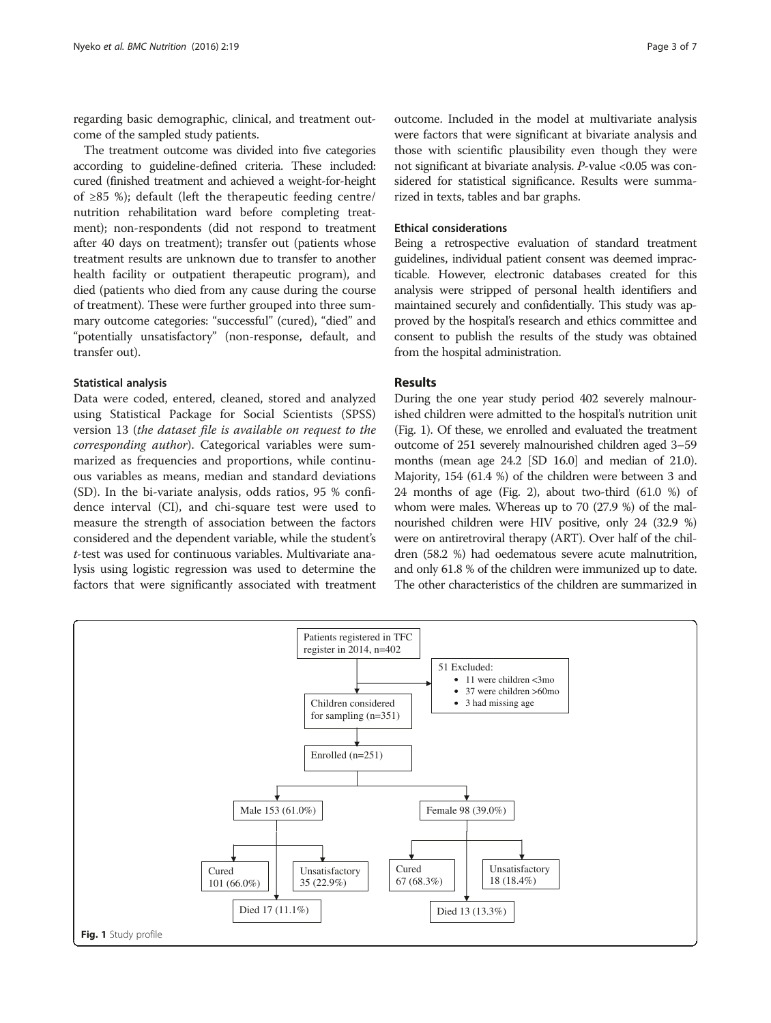regarding basic demographic, clinical, and treatment outcome of the sampled study patients.

The treatment outcome was divided into five categories according to guideline-defined criteria. These included: cured (finished treatment and achieved a weight-for-height of ≥85 %); default (left the therapeutic feeding centre/ nutrition rehabilitation ward before completing treatment); non-respondents (did not respond to treatment after 40 days on treatment); transfer out (patients whose treatment results are unknown due to transfer to another health facility or outpatient therapeutic program), and died (patients who died from any cause during the course of treatment). These were further grouped into three summary outcome categories: "successful" (cured), "died" and "potentially unsatisfactory" (non-response, default, and transfer out).

## Statistical analysis

Data were coded, entered, cleaned, stored and analyzed using Statistical Package for Social Scientists (SPSS) version 13 (the dataset file is available on request to the corresponding author). Categorical variables were summarized as frequencies and proportions, while continuous variables as means, median and standard deviations (SD). In the bi-variate analysis, odds ratios, 95 % confidence interval (CI), and chi-square test were used to measure the strength of association between the factors considered and the dependent variable, while the student's t-test was used for continuous variables. Multivariate analysis using logistic regression was used to determine the factors that were significantly associated with treatment

outcome. Included in the model at multivariate analysis were factors that were significant at bivariate analysis and those with scientific plausibility even though they were not significant at bivariate analysis. P-value <0.05 was considered for statistical significance. Results were summarized in texts, tables and bar graphs.

## Ethical considerations

Being a retrospective evaluation of standard treatment guidelines, individual patient consent was deemed impracticable. However, electronic databases created for this analysis were stripped of personal health identifiers and maintained securely and confidentially. This study was approved by the hospital's research and ethics committee and consent to publish the results of the study was obtained from the hospital administration.

## Results

During the one year study period 402 severely malnourished children were admitted to the hospital's nutrition unit (Fig. 1). Of these, we enrolled and evaluated the treatment outcome of 251 severely malnourished children aged 3–59 months (mean age 24.2 [SD 16.0] and median of 21.0). Majority, 154 (61.4 %) of the children were between 3 and 24 months of age (Fig. [2\)](#page-3-0), about two-third (61.0 %) of whom were males. Whereas up to 70 (27.9 %) of the malnourished children were HIV positive, only 24 (32.9 %) were on antiretroviral therapy (ART). Over half of the children (58.2 %) had oedematous severe acute malnutrition, and only 61.8 % of the children were immunized up to date. The other characteristics of the children are summarized in

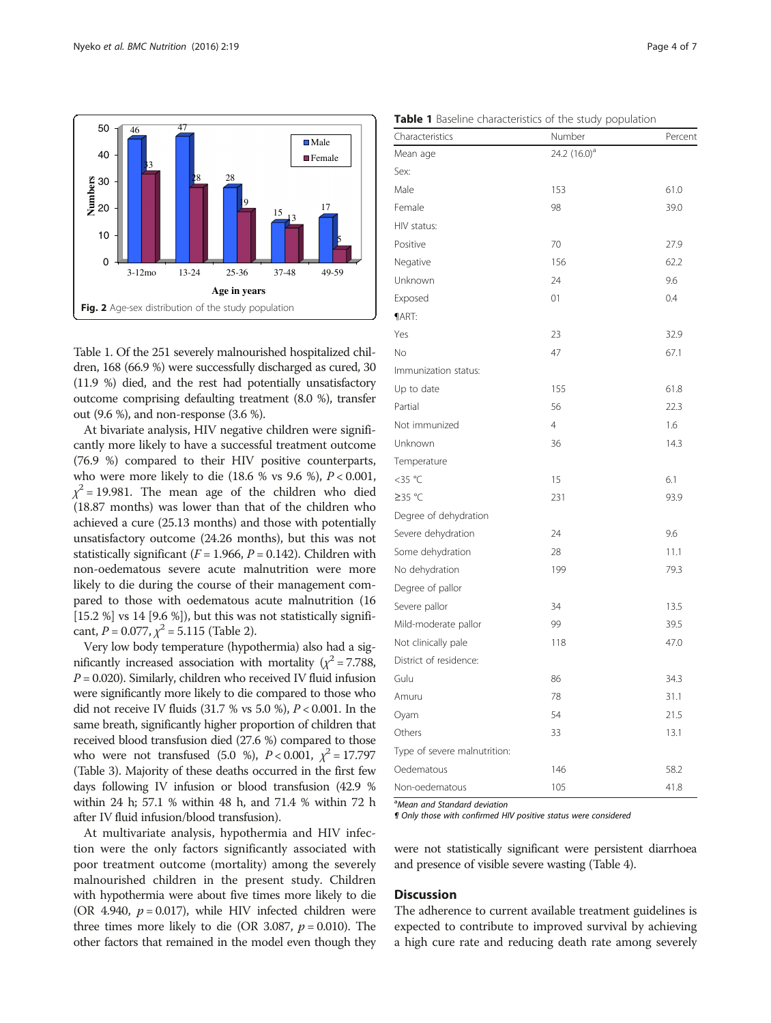<span id="page-3-0"></span>

Table 1. Of the 251 severely malnourished hospitalized children, 168 (66.9 %) were successfully discharged as cured, 30 (11.9 %) died, and the rest had potentially unsatisfactory outcome comprising defaulting treatment (8.0 %), transfer out (9.6 %), and non-response (3.6 %).

At bivariate analysis, HIV negative children were significantly more likely to have a successful treatment outcome (76.9 %) compared to their HIV positive counterparts, who were more likely to die (18.6 % vs 9.6 %),  $P < 0.001$ ,  $\chi^2$  = 19.981. The mean age of the children who died (18.87 months) was lower than that of the children who achieved a cure (25.13 months) and those with potentially unsatisfactory outcome (24.26 months), but this was not statistically significant ( $F = 1.966$ ,  $P = 0.142$ ). Children with non-oedematous severe acute malnutrition were more likely to die during the course of their management compared to those with oedematous acute malnutrition (16 [15.2 %] vs 14 [9.6 %]), but this was not statistically significant,  $P = 0.077$ ,  $\chi^2 = 5.115$  (Table [2](#page-4-0)).

Very low body temperature (hypothermia) also had a significantly increased association with mortality ( $\chi^2$  = 7.788,  $P = 0.020$ ). Similarly, children who received IV fluid infusion were significantly more likely to die compared to those who did not receive IV fluids  $(31.7 %$  vs  $5.0 %$ ),  $P < 0.001$ . In the same breath, significantly higher proportion of children that received blood transfusion died (27.6 %) compared to those who were not transfused (5.0 %),  $P < 0.001$ ,  $\chi^2 = 17.797$ (Table [3\)](#page-5-0). Majority of these deaths occurred in the first few days following IV infusion or blood transfusion (42.9 % within 24 h; 57.1 % within 48 h, and 71.4 % within 72 h after IV fluid infusion/blood transfusion).

At multivariate analysis, hypothermia and HIV infection were the only factors significantly associated with poor treatment outcome (mortality) among the severely malnourished children in the present study. Children with hypothermia were about five times more likely to die (OR 4.940,  $p = 0.017$ ), while HIV infected children were three times more likely to die (OR 3.087,  $p = 0.010$ ). The other factors that remained in the model even though they

|  |  | Table 1 Baseline characteristics of the study population |  |  |  |
|--|--|----------------------------------------------------------|--|--|--|
|--|--|----------------------------------------------------------|--|--|--|

| Characteristics              | Number          | Percent |
|------------------------------|-----------------|---------|
| Mean age                     | 24.2 $(16.0)^a$ |         |
| Sex:                         |                 |         |
| Male                         | 153             | 61.0    |
| Female                       | 98              | 39.0    |
| HIV status:                  |                 |         |
| Positive                     | 70              | 27.9    |
| Negative                     | 156             | 62.2    |
| Unknown                      | 24              | 9.6     |
| Exposed                      | 01              | 0.4     |
| $\bigcap$ ART:               |                 |         |
| Yes                          | 23              | 32.9    |
| <b>No</b>                    | 47              | 67.1    |
| Immunization status:         |                 |         |
| Up to date                   | 155             | 61.8    |
| Partial                      | 56              | 22.3    |
| Not immunized                | $\overline{4}$  | 1.6     |
| Unknown                      | 36              | 14.3    |
| Temperature                  |                 |         |
| <35 °C                       | 15              | 6.1     |
| ≥35 °C                       | 231             | 93.9    |
| Degree of dehydration        |                 |         |
| Severe dehydration           | 24              | 9.6     |
| Some dehydration             | 28              | 11.1    |
| No dehydration               | 199             | 79.3    |
| Degree of pallor             |                 |         |
| Severe pallor                | 34              | 13.5    |
| Mild-moderate pallor         | 99              | 39.5    |
| Not clinically pale          | 118             | 47.0    |
| District of residence:       |                 |         |
| Gulu                         | 86              | 34.3    |
| Amuru                        | 78              | 31.1    |
| Oyam                         | 54              | 21.5    |
| Others                       | 33              | 13.1    |
| Type of severe malnutrition: |                 |         |
| Oedematous                   | 146             | 58.2    |
| Non-oedematous               | 105             | 41.8    |

<sup>a</sup>Mean and Standard deviation

¶ Only those with confirmed HIV positive status were considered

were not statistically significant were persistent diarrhoea and presence of visible severe wasting (Table [4\)](#page-5-0).

## **Discussion**

The adherence to current available treatment guidelines is expected to contribute to improved survival by achieving a high cure rate and reducing death rate among severely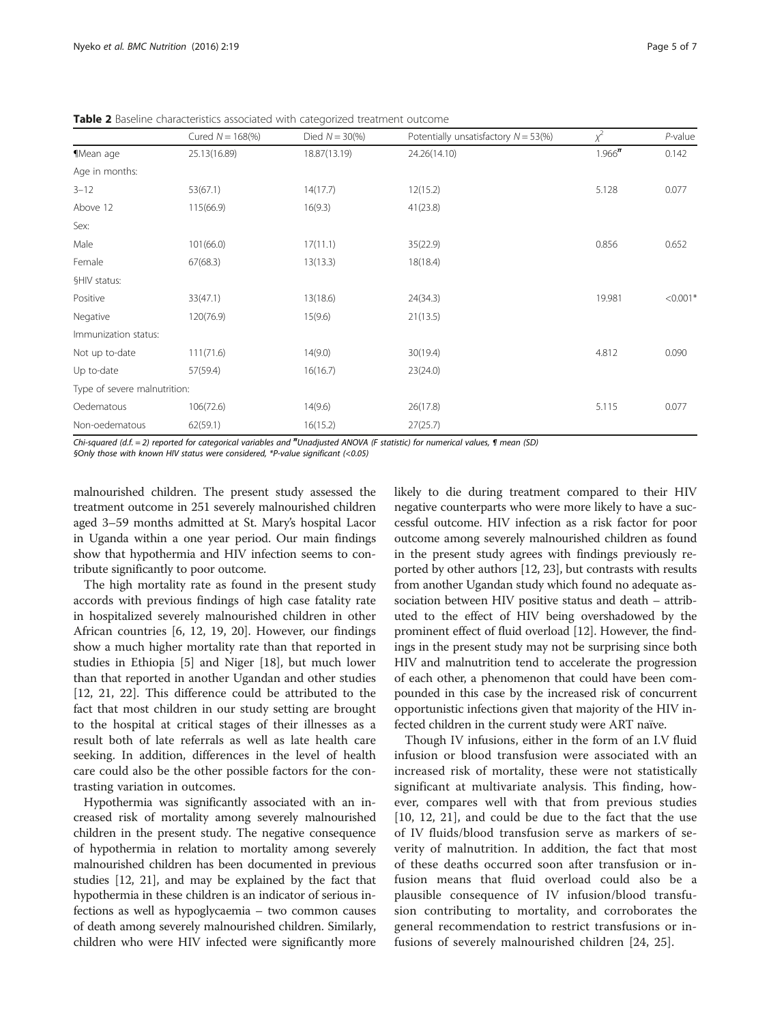<span id="page-4-0"></span>Table 2 Baseline characteristics associated with categorized treatment outcome

|                              | Cured $N = 168\%$ | Died $N = 30\%$ | Potentially unsatisfactory $N = 53$ (%) | $x^2$                               | $P$ -value |
|------------------------------|-------------------|-----------------|-----------------------------------------|-------------------------------------|------------|
| ¶Mean age                    | 25.13(16.89)      | 18.87(13.19)    | 24.26(14.10)                            | $1.966$ <sup><math>\pi</math></sup> | 0.142      |
| Age in months:               |                   |                 |                                         |                                     |            |
| $3 - 12$                     | 53(67.1)          | 14(17.7)        | 12(15.2)                                | 5.128                               | 0.077      |
| Above 12                     | 115(66.9)         | 16(9.3)         | 41(23.8)                                |                                     |            |
| Sex:                         |                   |                 |                                         |                                     |            |
| Male                         | 101(66.0)         | 17(11.1)        | 35(22.9)                                | 0.856                               | 0.652      |
| Female                       | 67(68.3)          | 13(13.3)        | 18(18.4)                                |                                     |            |
| §HIV status:                 |                   |                 |                                         |                                     |            |
| Positive                     | 33(47.1)          | 13(18.6)        | 24(34.3)                                | 19.981                              | $< 0.001*$ |
| Negative                     | 120(76.9)         | 15(9.6)         | 21(13.5)                                |                                     |            |
| Immunization status:         |                   |                 |                                         |                                     |            |
| Not up to-date               | 111(71.6)         | 14(9.0)         | 30(19.4)                                | 4.812                               | 0.090      |
| Up to-date                   | 57(59.4)          | 16(16.7)        | 23(24.0)                                |                                     |            |
| Type of severe malnutrition: |                   |                 |                                         |                                     |            |
| Oedematous                   | 106(72.6)         | 14(9.6)         | 26(17.8)                                | 5.115                               | 0.077      |
| Non-oedematous               | 62(59.1)          | 16(15.2)        | 27(25.7)                                |                                     |            |

Chi-squared (d.f. = 2) reported for categorical variables and <sup>π</sup>Unadjusted ANOVA (F statistic) for numerical values, ¶ mean (SD) §Only those with known HIV status were considered, \*P-value significant (<0.05)

malnourished children. The present study assessed the treatment outcome in 251 severely malnourished children aged 3–59 months admitted at St. Mary's hospital Lacor in Uganda within a one year period. Our main findings show that hypothermia and HIV infection seems to contribute significantly to poor outcome.

The high mortality rate as found in the present study accords with previous findings of high case fatality rate in hospitalized severely malnourished children in other African countries [[6, 12, 19, 20\]](#page-6-0). However, our findings show a much higher mortality rate than that reported in studies in Ethiopia [\[5](#page-6-0)] and Niger [[18\]](#page-6-0), but much lower than that reported in another Ugandan and other studies [[12, 21](#page-6-0), [22](#page-6-0)]. This difference could be attributed to the fact that most children in our study setting are brought to the hospital at critical stages of their illnesses as a result both of late referrals as well as late health care seeking. In addition, differences in the level of health care could also be the other possible factors for the contrasting variation in outcomes.

Hypothermia was significantly associated with an increased risk of mortality among severely malnourished children in the present study. The negative consequence of hypothermia in relation to mortality among severely malnourished children has been documented in previous studies [[12, 21\]](#page-6-0), and may be explained by the fact that hypothermia in these children is an indicator of serious infections as well as hypoglycaemia – two common causes of death among severely malnourished children. Similarly, children who were HIV infected were significantly more likely to die during treatment compared to their HIV negative counterparts who were more likely to have a successful outcome. HIV infection as a risk factor for poor outcome among severely malnourished children as found in the present study agrees with findings previously reported by other authors [\[12](#page-6-0), [23](#page-6-0)], but contrasts with results from another Ugandan study which found no adequate association between HIV positive status and death – attributed to the effect of HIV being overshadowed by the prominent effect of fluid overload [\[12\]](#page-6-0). However, the findings in the present study may not be surprising since both HIV and malnutrition tend to accelerate the progression of each other, a phenomenon that could have been compounded in this case by the increased risk of concurrent opportunistic infections given that majority of the HIV infected children in the current study were ART naïve.

Though IV infusions, either in the form of an I.V fluid infusion or blood transfusion were associated with an increased risk of mortality, these were not statistically significant at multivariate analysis. This finding, however, compares well with that from previous studies [[10, 12](#page-6-0), [21](#page-6-0)], and could be due to the fact that the use of IV fluids/blood transfusion serve as markers of severity of malnutrition. In addition, the fact that most of these deaths occurred soon after transfusion or infusion means that fluid overload could also be a plausible consequence of IV infusion/blood transfusion contributing to mortality, and corroborates the general recommendation to restrict transfusions or infusions of severely malnourished children [\[24](#page-6-0), [25\]](#page-6-0).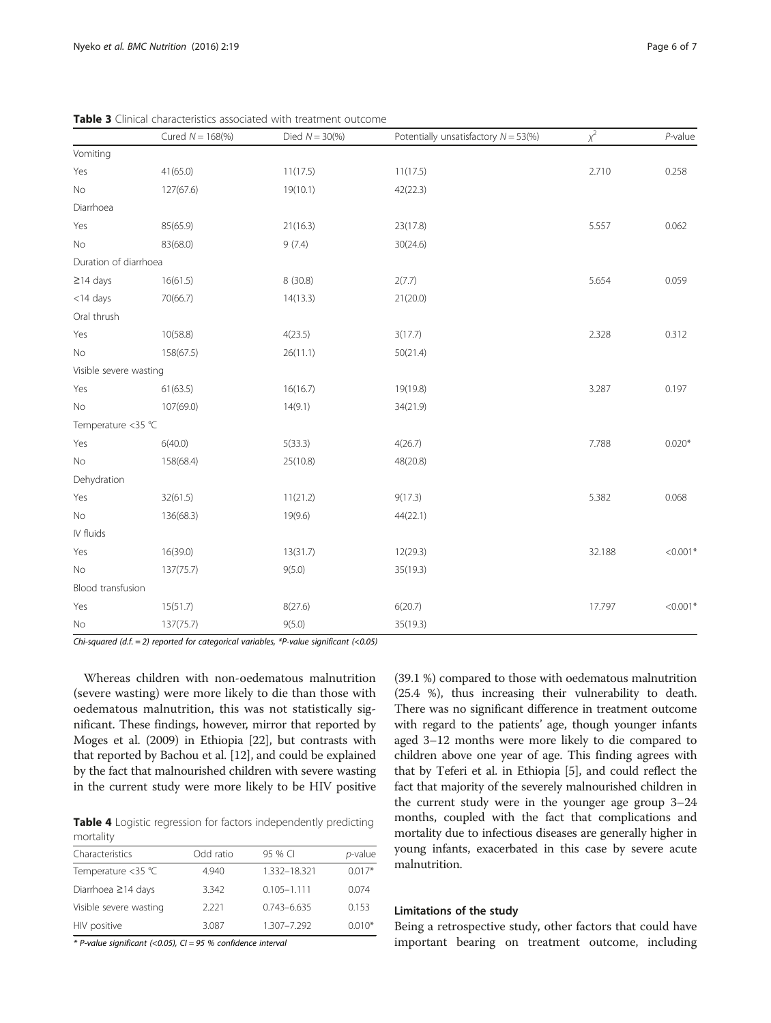|                        | Cured $N = 168\%$ | Died $N = 30\%$ | Potentially unsatisfactory $N = 53$ (%) | $\overline{x^2}$ | $P$ -value |
|------------------------|-------------------|-----------------|-----------------------------------------|------------------|------------|
| Vomiting               |                   |                 |                                         |                  |            |
| Yes                    | 41(65.0)          | 11(17.5)        | 11(17.5)                                | 2.710            | 0.258      |
| $\rm No$               | 127(67.6)         | 19(10.1)        | 42(22.3)                                |                  |            |
| Diarrhoea              |                   |                 |                                         |                  |            |
| Yes                    | 85(65.9)          | 21(16.3)        | 23(17.8)                                | 5.557            | 0.062      |
| No                     | 83(68.0)          | 9(7.4)          | 30(24.6)                                |                  |            |
| Duration of diarrhoea  |                   |                 |                                         |                  |            |
| $\geq$ 14 days         | 16(61.5)          | 8 (30.8)        | 2(7.7)                                  | 5.654            | 0.059      |
| $<$ 14 days            | 70(66.7)          | 14(13.3)        | 21(20.0)                                |                  |            |
| Oral thrush            |                   |                 |                                         |                  |            |
| Yes                    | 10(58.8)          | 4(23.5)         | 3(17.7)                                 | 2.328            | 0.312      |
| No                     | 158(67.5)         | 26(11.1)        | 50(21.4)                                |                  |            |
| Visible severe wasting |                   |                 |                                         |                  |            |
| Yes                    | 61(63.5)          | 16(16.7)        | 19(19.8)                                | 3.287            | 0.197      |
| No                     | 107(69.0)         | 14(9.1)         | 34(21.9)                                |                  |            |
| Temperature <35 °C     |                   |                 |                                         |                  |            |
| Yes                    | 6(40.0)           | 5(33.3)         | 4(26.7)                                 | 7.788            | $0.020*$   |
| No                     | 158(68.4)         | 25(10.8)        | 48(20.8)                                |                  |            |
| Dehydration            |                   |                 |                                         |                  |            |
| Yes                    | 32(61.5)          | 11(21.2)        | 9(17.3)                                 | 5.382            | 0.068      |
| No                     | 136(68.3)         | 19(9.6)         | 44(22.1)                                |                  |            |
| IV fluids              |                   |                 |                                         |                  |            |
| Yes                    | 16(39.0)          | 13(31.7)        | 12(29.3)                                | 32.188           | $< 0.001*$ |
| No                     | 137(75.7)         | 9(5.0)          | 35(19.3)                                |                  |            |
| Blood transfusion      |                   |                 |                                         |                  |            |
| Yes                    | 15(51.7)          | 8(27.6)         | 6(20.7)                                 | 17.797           | $< 0.001*$ |
| No                     | 137(75.7)         | 9(5.0)          | 35(19.3)                                |                  |            |

<span id="page-5-0"></span>Table 3 Clinical characteristics associated with treatment outcome

Chi-squared (d.f. = 2) reported for categorical variables, \*P-value significant (<0.05)

Whereas children with non-oedematous malnutrition (severe wasting) were more likely to die than those with oedematous malnutrition, this was not statistically significant. These findings, however, mirror that reported by Moges et al. (2009) in Ethiopia [\[22\]](#page-6-0), but contrasts with that reported by Bachou et al. [[12](#page-6-0)], and could be explained by the fact that malnourished children with severe wasting in the current study were more likely to be HIV positive

Table 4 Logistic regression for factors independently predicting mortality

| Characteristics        | Odd ratio | 95 % CI         | p-value  |
|------------------------|-----------|-----------------|----------|
| Temperature $<$ 35 °C  | 4.940     | 1.332-18.321    | $0.017*$ |
| Diarrhoea ≥14 days     | 3.342     | $0.105 - 1.111$ | 0.074    |
| Visible severe wasting | 2.221     | $0.743 - 6.635$ | 0.153    |
| HIV positive           | 3.087     | 1.307-7.292     | $0.010*$ |

 $*$  P-value significant (<0.05), CI = 95 % confidence interval

(39.1 %) compared to those with oedematous malnutrition (25.4 %), thus increasing their vulnerability to death. There was no significant difference in treatment outcome with regard to the patients' age, though younger infants aged 3–12 months were more likely to die compared to children above one year of age. This finding agrees with that by Teferi et al. in Ethiopia [\[5](#page-6-0)], and could reflect the fact that majority of the severely malnourished children in the current study were in the younger age group 3–24 months, coupled with the fact that complications and mortality due to infectious diseases are generally higher in young infants, exacerbated in this case by severe acute malnutrition.

## Limitations of the study

Being a retrospective study, other factors that could have important bearing on treatment outcome, including